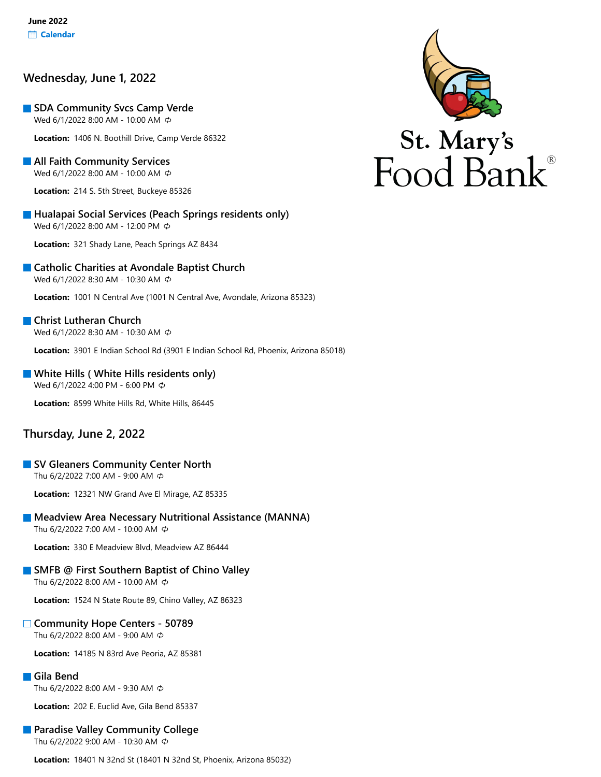# **Wednesday, June 1, 2022**

**SDA Community Svcs Camp Verde** Wed 6/1/2022 8:00 AM - 10:00 AM  $\ddot{\phi}$ 

**Location:** 1406 N. Boothill Drive, Camp Verde 86322

**All Faith Community Services** Wed 6/1/2022 8:00 AM - 10:00 AM

**Location:** 214 S. 5th Street, Buckeye 85326

**Hualapai Social Services (Peach Springs residents only)** Wed 6/1/2022 8:00 AM - 12:00 PM

**Location:** 321 Shady Lane, Peach Springs AZ 8434

### **Catholic Charities at Avondale Baptist Church**

Wed 6/1/2022 8:30 AM - 10:30 AM

**Location:** 1001 N Central Ave (1001 N Central Ave, Avondale, Arizona 85323)

#### **Christ Lutheran Church** Wed 6/1/2022 8:30 AM - 10:30 AM ¢

**Location:** 3901 E Indian School Rd (3901 E Indian School Rd, Phoenix, Arizona 85018)

#### **White Hills ( White Hills residents only)** Wed 6/1/2022 4:00 PM - 6:00 PM  $\ddot{\phi}$

**Location:** 8599 White Hills Rd, White Hills, 86445

### **Thursday, June 2, 2022**

#### **SV Gleaners Community Center North** Thu 6/2/2022 7:00 AM - 9:00 AM

**Location:** 12321 NW Grand Ave El Mirage, AZ 85335

### **Meadview Area Necessary Nutritional Assistance (MANNA)**

Thu 6/2/2022 7:00 AM - 10:00 AM

**Location:** 330 E Meadview Blvd, Meadview AZ 86444

### **SMFB @ First Southern Baptist of Chino Valley**

Thu 6/2/2022 8:00 AM - 10:00 AM

**Location:** 1524 N State Route 89, Chino Valley, AZ 86323

# **Community Hope Centers - 50789**

Thu 6/2/2022 8:00 AM - 9:00 AM

**Location:** 14185 N 83rd Ave Peoria, AZ 85381

### **Gila Bend**

Thu 6/2/2022 8:00 AM - 9:30 AM

**Location:** 202 E. Euclid Ave, Gila Bend 85337

# **Paradise Valley Community College**

Thu 6/2/2022 9:00 AM - 10:30 AM

**Location:** 18401 N 32nd St (18401 N 32nd St, Phoenix, Arizona 85032)

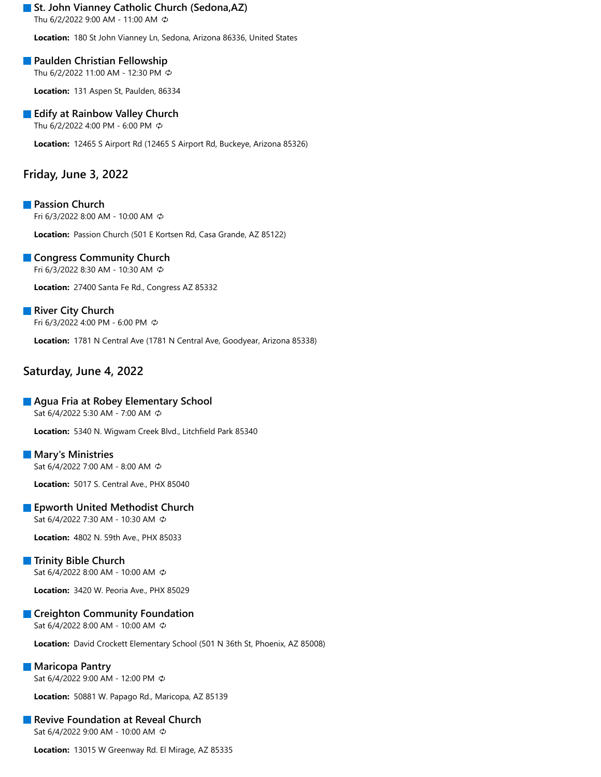### **St. John Vianney Catholic Church (Sedona, AZ)**

Thu 6/2/2022 9:00 AM - 11:00 AM

**Location:** 180 St John Vianney Ln, Sedona, Arizona 86336, United States

### **Paulden Christian Fellowship**

Thu 6/2/2022 11:00 AM - 12:30 PM

**Location:** 131 Aspen St, Paulden, 86334

### **Edify at Rainbow Valley Church**

Thu 6/2/2022 4:00 PM - 6:00 PM

**Location:** 12465 S Airport Rd (12465 S Airport Rd, Buckeye, Arizona 85326)

# **Friday, June 3, 2022**

**Passion Church** Fri 6/3/2022 8:00 AM - 10:00 AM

**Location:** Passion Church (501 E Kortsen Rd, Casa Grande, AZ 85122)

### **Congress Community Church**

Fri 6/3/2022 8:30 AM - 10:30 AM

**Location:** 27400 Santa Fe Rd., Congress AZ 85332

# **River City Church**

Fri 6/3/2022 4:00 PM - 6:00 PM

**Location:** 1781 N Central Ave (1781 N Central Ave, Goodyear, Arizona 85338)

# **Saturday, June 4, 2022**

#### **Agua Fria at Robey Elementary School**

Sat 6/4/2022 5:30 AM - 7:00 AM

**Location:** 5340 N. Wigwam Creek Blvd., Litchfield Park 85340

#### **Mary's Ministries**

Sat 6/4/2022 7:00 AM - 8:00 AM

**Location:** 5017 S. Central Ave., PHX 85040

### **Epworth United Methodist Church**

Sat 6/4/2022 7:30 AM - 10:30 AM

**Location:** 4802 N. 59th Ave., PHX 85033

### **Trinity Bible Church**

Sat 6/4/2022 8:00 AM - 10:00 AM

**Location:** 3420 W. Peoria Ave., PHX 85029

### **Creighton Community Foundation**

Sat 6/4/2022 8:00 AM - 10:00 AM

**Location:** David Crockett Elementary School (501 N 36th St, Phoenix, AZ 85008)

#### **Maricopa Pantry**

Sat 6/4/2022 9:00 AM - 12:00 PM

**Location:** 50881 W. Papago Rd., Maricopa, AZ 85139

# **Revive Foundation at Reveal Church**

Sat 6/4/2022 9:00 AM - 10:00 AM

**Location:** 13015 W Greenway Rd. El Mirage, AZ 85335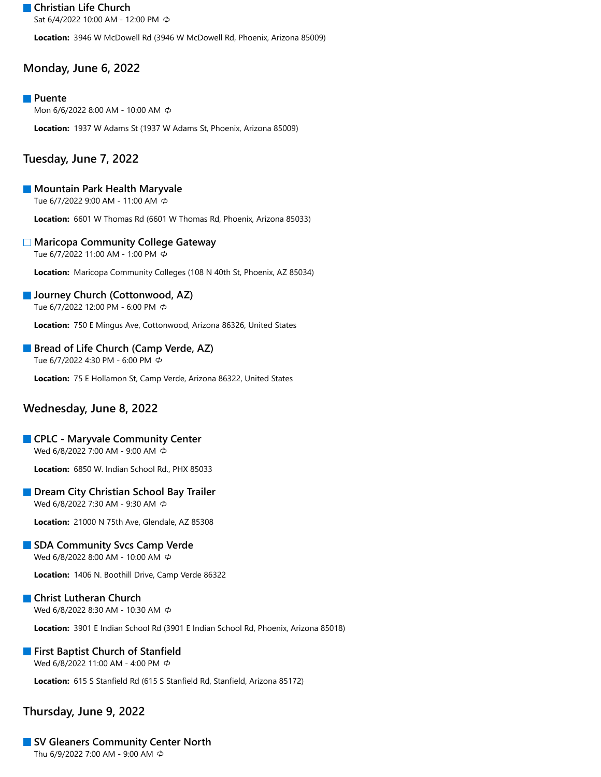**Christian Life Church** Sat 6/4/2022 10:00 AM - 12:00 PM

**Location:** 3946 W McDowell Rd (3946 W McDowell Rd, Phoenix, Arizona 85009)

# **Monday, June 6, 2022**

#### **Puente**

Mon 6/6/2022 8:00 AM - 10:00 AM  $\ddot{\phi}$ 

**Location:** 1937 W Adams St (1937 W Adams St, Phoenix, Arizona 85009)

### **Tuesday, June 7, 2022**

#### **Mountain Park Health Maryvale**

Tue 6/7/2022 9:00 AM - 11:00 AM

**Location:** 6601 W Thomas Rd (6601 W Thomas Rd, Phoenix, Arizona 85033)

#### **Maricopa Community College Gateway**

Tue 6/7/2022 11:00 AM - 1:00 PM

**Location:** Maricopa Community Colleges (108 N 40th St, Phoenix, AZ 85034)

#### **Journey Church (Cottonwood, AZ)**

Tue 6/7/2022 12:00 PM - 6:00 PM

**Location:** 750 E Mingus Ave, Cottonwood, Arizona 86326, United States

#### **Bread of Life Church (Camp Verde, AZ)**

Tue 6/7/2022 4:30 PM - 6:00 PM

**Location:** 75 E Hollamon St, Camp Verde, Arizona 86322, United States

### **Wednesday, June 8, 2022**

#### **CPLC - Maryvale Community Center**

Wed 6/8/2022 7:00 AM - 9:00 AM

**Location:** 6850 W. Indian School Rd., PHX 85033

#### **Dream City Christian School Bay Trailer**

Wed 6/8/2022 7:30 AM - 9:30 AM  $\circledcirc$ 

**Location:** 21000 N 75th Ave, Glendale, AZ 85308

#### **SDA Community Svcs Camp Verde**

Wed 6/8/2022 8:00 AM - 10:00 AM

**Location:** 1406 N. Boothill Drive, Camp Verde 86322

#### **Christ Lutheran Church**

Wed 6/8/2022 8:30 AM - 10:30 AM

**Location:** 3901 E Indian School Rd (3901 E Indian School Rd, Phoenix, Arizona 85018)

#### **First Baptist Church of Stanfield**

Wed 6/8/2022 11:00 AM - 4:00 PM  $\ddot{\phi}$ 

**Location:** 615 S Stanfield Rd (615 S Stanfield Rd, Stanfield, Arizona 85172)

### **Thursday, June 9, 2022**

# **SV Gleaners Community Center North**

Thu 6/9/2022 7:00 AM - 9:00 AM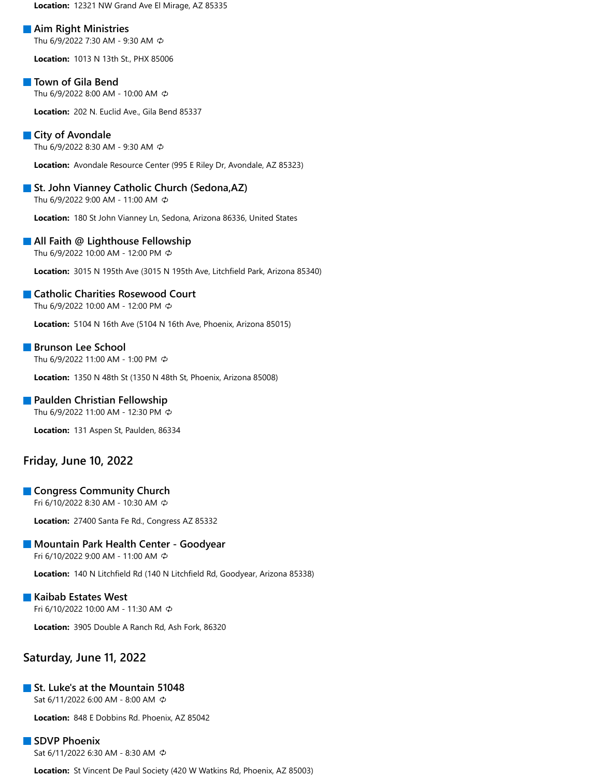**Location:** 12321 NW Grand Ave El Mirage, AZ 85335

#### **Aim Right Ministries**

Thu 6/9/2022 7:30 AM - 9:30 AM

**Location:** 1013 N 13th St., PHX 85006

#### **Town of Gila Bend**

Thu 6/9/2022 8:00 AM - 10:00 AM

**Location:** 202 N. Euclid Ave., Gila Bend 85337

#### **City of Avondale**

Thu 6/9/2022 8:30 AM - 9:30 AM

**Location:** Avondale Resource Center (995 E Riley Dr, Avondale, AZ 85323)

#### **St. John Vianney Catholic Church (Sedona, AZ)**

Thu 6/9/2022 9:00 AM - 11:00 AM

**Location:** 180 St John Vianney Ln, Sedona, Arizona 86336, United States

# **All Faith @ Lighthouse Fellowship**

Thu 6/9/2022 10:00 AM - 12:00 PM

**Location:** 3015 N 195th Ave (3015 N 195th Ave, Litchfield Park, Arizona 85340)

#### **Catholic Charities Rosewood Court**

Thu 6/9/2022 10:00 AM - 12:00 PM

**Location:** 5104 N 16th Ave (5104 N 16th Ave, Phoenix, Arizona 85015)

#### **Brunson Lee School**

Thu 6/9/2022 11:00 AM - 1:00 PM

**Location:** 1350 N 48th St (1350 N 48th St, Phoenix, Arizona 85008)

#### **Paulden Christian Fellowship**

Thu 6/9/2022 11:00 AM - 12:30 PM

**Location:** 131 Aspen St, Paulden, 86334

### **Friday, June 10, 2022**

#### **Congress Community Church**

Fri 6/10/2022 8:30 AM - 10:30 AM

**Location:** 27400 Santa Fe Rd., Congress AZ 85332

#### **Mountain Park Health Center - Goodyear**

Fri 6/10/2022 9:00 AM - 11:00 AM

**Location:** 140 N Litchfield Rd (140 N Litchfield Rd, Goodyear, Arizona 85338)

# **Kaibab Estates West**

Fri 6/10/2022 10:00 AM - 11:30 AM

**Location:** 3905 Double A Ranch Rd, Ash Fork, 86320

### **Saturday, June 11, 2022**

#### **St. Luke's at the Mountain 51048**

Sat 6/11/2022 6:00 AM - 8:00 AM

**Location:** 848 E Dobbins Rd. Phoenix, AZ 85042

## **SDVP Phoenix**

Sat 6/11/2022 6:30 AM - 8:30 AM

**Location:** St Vincent De Paul Society (420 W Watkins Rd, Phoenix, AZ 85003)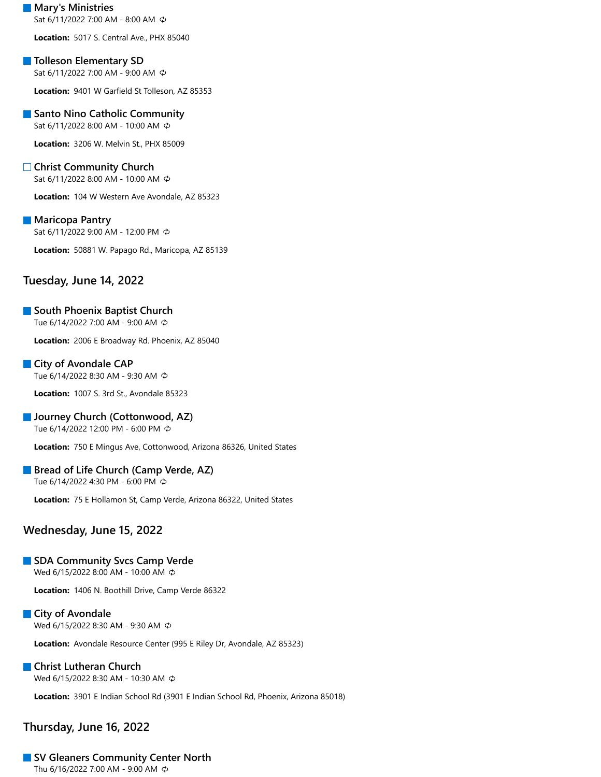#### **Mary's Ministries** Sat 6/11/2022 7:00 AM - 8:00 AM

**Location:** 5017 S. Central Ave., PHX 85040

### **Tolleson Elementary SD**

Sat 6/11/2022 7:00 AM - 9:00 AM

**Location:** 9401 W Garfield St Tolleson, AZ 85353

### **Santo Nino Catholic Community**

Sat 6/11/2022 8:00 AM - 10:00 AM

**Location:** 3206 W. Melvin St., PHX 85009

### **Christ Community Church**

Sat 6/11/2022 8:00 AM - 10:00 AM

**Location:** 104 W Western Ave Avondale, AZ 85323

#### **Maricopa Pantry**

Sat 6/11/2022 9:00 AM - 12:00 PM

**Location:** 50881 W. Papago Rd., Maricopa, AZ 85139

### **Tuesday, June 14, 2022**

### **South Phoenix Baptist Church**

Tue 6/14/2022 7:00 AM - 9:00 AM

**Location:** 2006 E Broadway Rd. Phoenix, AZ 85040

#### **City of Avondale CAP**

Tue 6/14/2022 8:30 AM - 9:30 AM

**Location:** 1007 S. 3rd St., Avondale 85323

#### **Journey Church (Cottonwood, AZ)**

Tue 6/14/2022 12:00 PM - 6:00 PM

**Location:** 750 E Mingus Ave, Cottonwood, Arizona 86326, United States

#### **Bread of Life Church (Camp Verde, AZ)**

Tue 6/14/2022 4:30 PM - 6:00 PM

**Location:** 75 E Hollamon St, Camp Verde, Arizona 86322, United States

### **Wednesday, June 15, 2022**

# **SDA Community Svcs Camp Verde**

Wed 6/15/2022 8:00 AM - 10:00 AM

**Location:** 1406 N. Boothill Drive, Camp Verde 86322

### **City of Avondale**

Wed 6/15/2022 8:30 AM - 9:30 AM

**Location:** Avondale Resource Center (995 E Riley Dr, Avondale, AZ 85323)

# **Christ Lutheran Church**

Wed 6/15/2022 8:30 AM - 10:30 AM

**Location:** 3901 E Indian School Rd (3901 E Indian School Rd, Phoenix, Arizona 85018)

# **Thursday, June 16, 2022**

# **SV Gleaners Community Center North**

Thu 6/16/2022 7:00 AM - 9:00 AM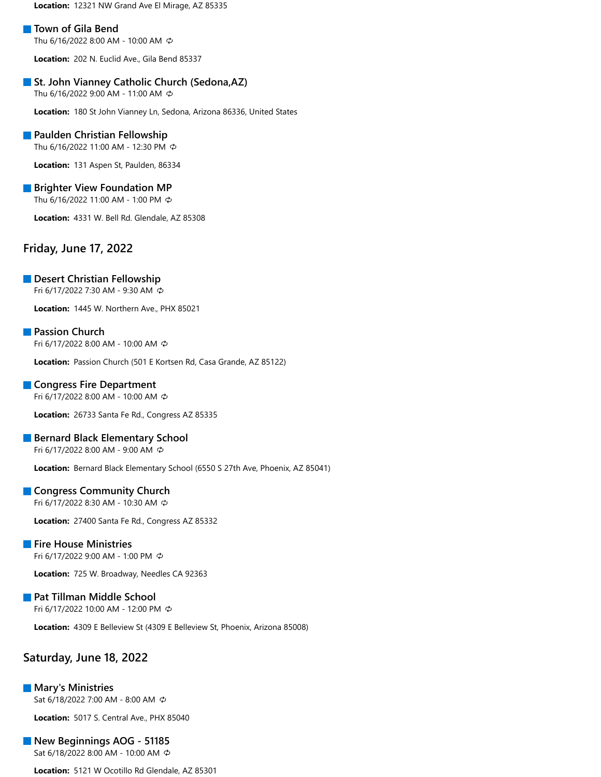**Location:** 12321 NW Grand Ave El Mirage, AZ 85335

#### **Town of Gila Bend**

Thu 6/16/2022 8:00 AM - 10:00 AM

**Location:** 202 N. Euclid Ave., Gila Bend 85337

#### **St. John Vianney Catholic Church (Sedona, AZ)**

Thu 6/16/2022 9:00 AM - 11:00 AM

**Location:** 180 St John Vianney Ln, Sedona, Arizona 86336, United States

#### **Paulden Christian Fellowship**

Thu 6/16/2022 11:00 AM - 12:30 PM

**Location:** 131 Aspen St, Paulden, 86334

#### **Brighter View Foundation MP**

Thu 6/16/2022 11:00 AM - 1:00 PM

**Location:** 4331 W. Bell Rd. Glendale, AZ 85308

### **Friday, June 17, 2022**

#### **Desert Christian Fellowship**

Fri 6/17/2022 7:30 AM - 9:30 AM

**Location:** 1445 W. Northern Ave., PHX 85021

#### **Passion Church**

Fri 6/17/2022 8:00 AM - 10:00 AM

**Location:** Passion Church (501 E Kortsen Rd, Casa Grande, AZ 85122)

#### **Congress Fire Department**

Fri 6/17/2022 8:00 AM - 10:00 AM

**Location:** 26733 Santa Fe Rd., Congress AZ 85335

#### **Bernard Black Elementary School**

Fri 6/17/2022 8:00 AM - 9:00 AM

**Location:** Bernard Black Elementary School (6550 S 27th Ave, Phoenix, AZ 85041)

#### **Congress Community Church**

Fri 6/17/2022 8:30 AM - 10:30 AM

**Location:** 27400 Santa Fe Rd., Congress AZ 85332

#### **Fire House Ministries**

Fri 6/17/2022 9:00 AM - 1:00 PM

**Location:** 725 W. Broadway, Needles CA 92363

#### **Pat Tillman Middle School** Fri 6/17/2022 10:00 AM - 12:00 PM

**Location:** 4309 E Belleview St (4309 E Belleview St, Phoenix, Arizona 85008)

### **Saturday, June 18, 2022**

**Mary's Ministries** Sat 6/18/2022 7:00 AM - 8:00 AM

**Location:** 5017 S. Central Ave., PHX 85040

#### **New Beginnings AOG - 51185** Sat 6/18/2022 8:00 AM - 10:00 AM

**Location:** 5121 W Ocotillo Rd Glendale, AZ 85301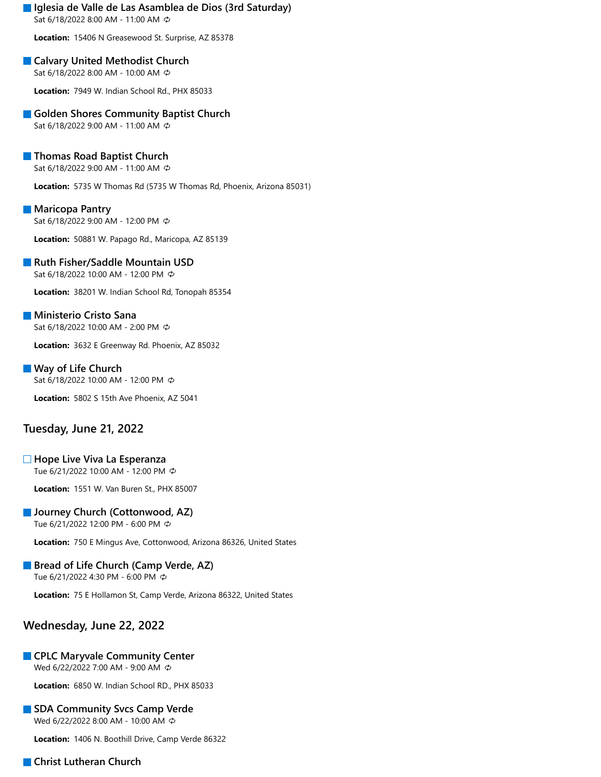### **Iglesia de Valle de Las Asamblea de Dios (3rd Saturday)**

Sat 6/18/2022 8:00 AM - 11:00 AM

**Location:** 15406 N Greasewood St. Surprise, AZ 85378

#### **Calvary United Methodist Church** Sat 6/18/2022 8:00 AM - 10:00 AM

**Location:** 7949 W. Indian School Rd., PHX 85033

### **Golden Shores Community Baptist Church**

Sat 6/18/2022 9:00 AM - 11:00 AM

### **Thomas Road Baptist Church**

Sat 6/18/2022 9:00 AM - 11:00 AM

**Location:** 5735 W Thomas Rd (5735 W Thomas Rd, Phoenix, Arizona 85031)

#### **Maricopa Pantry**

Sat 6/18/2022 9:00 AM - 12:00 PM

**Location:** 50881 W. Papago Rd., Maricopa, AZ 85139

#### **Ruth Fisher/Saddle Mountain USD**

Sat 6/18/2022 10:00 AM - 12:00 PM

**Location:** 38201 W. Indian School Rd, Tonopah 85354

### **Ministerio Cristo Sana**

Sat 6/18/2022 10:00 AM - 2:00 PM

**Location:** 3632 E Greenway Rd. Phoenix, AZ 85032

### **Way of Life Church**

Sat 6/18/2022 10:00 AM - 12:00 PM

**Location:** 5802 S 15th Ave Phoenix, AZ 5041

### **Tuesday, June 21, 2022**

### **Hope Live Viva La Esperanza**

Tue 6/21/2022 10:00 AM - 12:00 PM

**Location:** 1551 W. Van Buren St., PHX 85007

### **Journey Church (Cottonwood, AZ)**

Tue 6/21/2022 12:00 PM - 6:00 PM

**Location:** 750 E Mingus Ave, Cottonwood, Arizona 86326, United States

#### **Bread of Life Church (Camp Verde, AZ)** Tue 6/21/2022 4:30 PM - 6:00 PM

**Location:** 75 E Hollamon St, Camp Verde, Arizona 86322, United States

# **Wednesday, June 22, 2022**

### **CPLC Maryvale Community Center**

Wed 6/22/2022 7:00 AM - 9:00 AM

**Location:** 6850 W. Indian School RD., PHX 85033

#### **SDA Community Svcs Camp Verde**

Wed 6/22/2022 8:00 AM - 10:00 AM

**Location:** 1406 N. Boothill Drive, Camp Verde 86322

### **Christ Lutheran Church**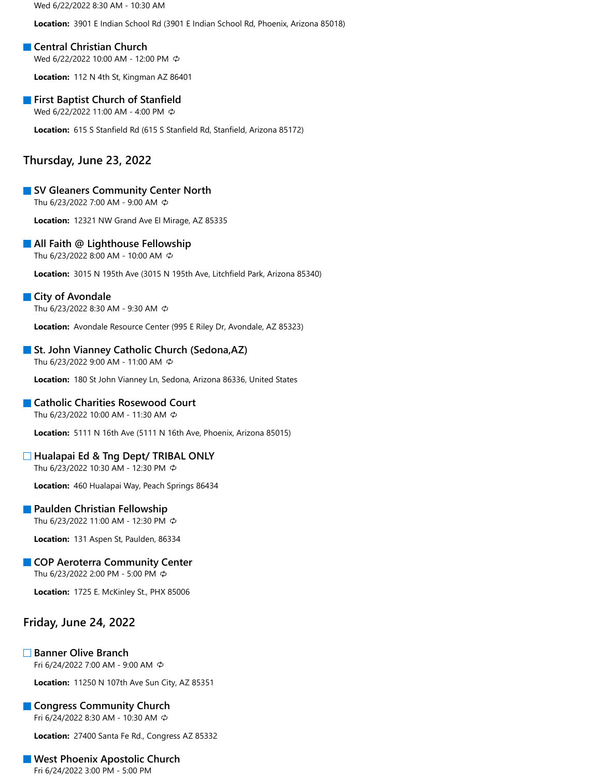Wed 6/22/2022 8:30 AM - 10:30 AM

**Location:** 3901 E Indian School Rd (3901 E Indian School Rd, Phoenix, Arizona 85018)

#### **Central Christian Church**

Wed 6/22/2022 10:00 AM - 12:00 PM

**Location:** 112 N 4th St, Kingman AZ 86401

#### **First Baptist Church of Stanfield**

Wed 6/22/2022 11:00 AM - 4:00 PM

**Location:** 615 S Stanfield Rd (615 S Stanfield Rd, Stanfield, Arizona 85172)

### **Thursday, June 23, 2022**

#### **SV Gleaners Community Center North**

Thu 6/23/2022 7:00 AM - 9:00 AM

**Location:** 12321 NW Grand Ave El Mirage, AZ 85335

#### **All Faith @ Lighthouse Fellowship**

Thu 6/23/2022 8:00 AM - 10:00 AM

**Location:** 3015 N 195th Ave (3015 N 195th Ave, Litchfield Park, Arizona 85340)

#### **City of Avondale**

Thu 6/23/2022 8:30 AM - 9:30 AM

**Location:** Avondale Resource Center (995 E Riley Dr, Avondale, AZ 85323)

#### **St. John Vianney Catholic Church (Sedona, AZ)**

Thu 6/23/2022 9:00 AM - 11:00 AM

**Location:** 180 St John Vianney Ln, Sedona, Arizona 86336, United States

#### **Catholic Charities Rosewood Court**

Thu 6/23/2022 10:00 AM - 11:30 AM

**Location:** 5111 N 16th Ave (5111 N 16th Ave, Phoenix, Arizona 85015)

#### **Hualapai Ed & Tng Dept/ TRIBAL ONLY**

Thu 6/23/2022 10:30 AM - 12:30 PM

**Location:** 460 Hualapai Way, Peach Springs 86434

#### **Paulden Christian Fellowship**

Thu 6/23/2022 11:00 AM - 12:30 PM

**Location:** 131 Aspen St, Paulden, 86334

#### **COP Aeroterra Community Center**

Thu 6/23/2022 2:00 PM - 5:00 PM

**Location:** 1725 E. McKinley St., PHX 85006

### **Friday, June 24, 2022**

#### **Banner Olive Branch**

Fri 6/24/2022 7:00 AM - 9:00 AM

**Location:** 11250 N 107th Ave Sun City, AZ 85351

#### **Congress Community Church**

Fri 6/24/2022 8:30 AM - 10:30 AM

**Location:** 27400 Santa Fe Rd., Congress AZ 85332

#### **West Phoenix Apostolic Church**

Fri 6/24/2022 3:00 PM - 5:00 PM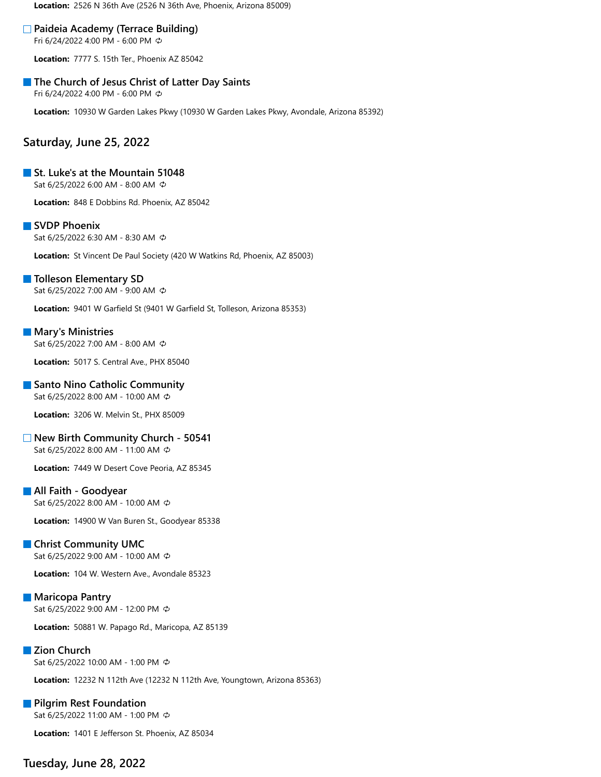**Location:** 2526 N 36th Ave (2526 N 36th Ave, Phoenix, Arizona 85009)

#### **Paideia Academy (Terrace Building)**

Fri 6/24/2022 4:00 PM - 6:00 PM

**Location:** 7777 S. 15th Ter., Phoenix AZ 85042

#### **The Church of Jesus Christ of Latter Day Saints**

Fri 6/24/2022 4:00 PM - 6:00 PM

**Location:** 10930 W Garden Lakes Pkwy (10930 W Garden Lakes Pkwy, Avondale, Arizona 85392)

### **Saturday, June 25, 2022**

#### **St. Luke's at the Mountain 51048**

Sat 6/25/2022 6:00 AM - 8:00 AM

**Location:** 848 E Dobbins Rd. Phoenix, AZ 85042

#### **SVDP Phoenix**

Sat 6/25/2022 6:30 AM - 8:30 AM

**Location:** St Vincent De Paul Society (420 W Watkins Rd, Phoenix, AZ 85003)

#### **Tolleson Elementary SD**

Sat 6/25/2022 7:00 AM - 9:00 AM

**Location:** 9401 W Garfield St (9401 W Garfield St, Tolleson, Arizona 85353)

#### **Mary's Ministries** Sat 6/25/2022 7:00 AM - 8:00 AM

**Location:** 5017 S. Central Ave., PHX 85040

#### **Santo Nino Catholic Community**

Sat 6/25/2022 8:00 AM - 10:00 AM

**Location:** 3206 W. Melvin St., PHX 85009

#### **New Birth Community Church - 50541**

Sat 6/25/2022 8:00 AM - 11:00 AM

**Location:** 7449 W Desert Cove Peoria, AZ 85345

#### **All Faith - Goodyear**

Sat 6/25/2022 8:00 AM - 10:00 AM

**Location:** 14900 W Van Buren St., Goodyear 85338

#### **Christ Community UMC**

Sat 6/25/2022 9:00 AM - 10:00 AM

**Location:** 104 W. Western Ave., Avondale 85323

#### **Maricopa Pantry** Sat 6/25/2022 9:00 AM - 12:00 PM

**Location:** 50881 W. Papago Rd., Maricopa, AZ 85139

#### **Zion Church** Sat 6/25/2022 10:00 AM - 1:00 PM

**Location:** 12232 N 112th Ave (12232 N 112th Ave, Youngtown, Arizona 85363)

### **Pilgrim Rest Foundation** Sat 6/25/2022 11:00 AM - 1:00 PM

**Location:** 1401 E Jefferson St. Phoenix, AZ 85034

## **Tuesday, June 28, 2022**